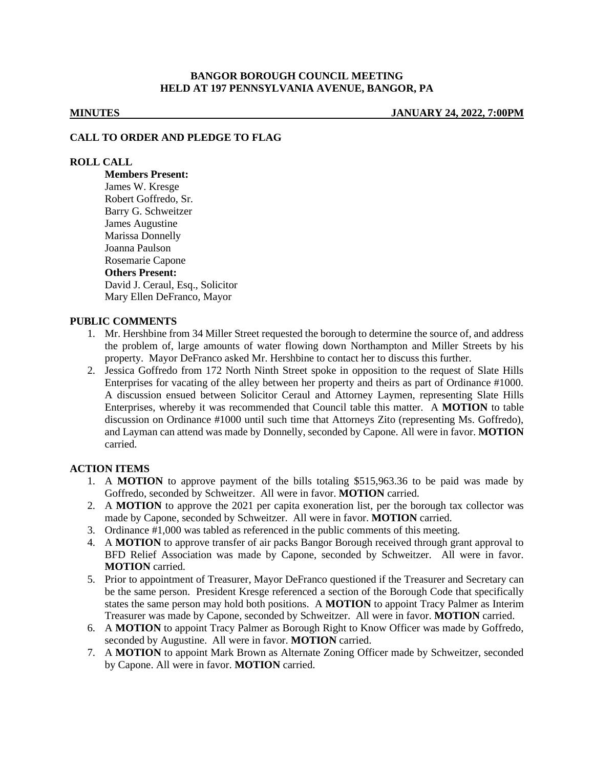## **BANGOR BOROUGH COUNCIL MEETING HELD AT 197 PENNSYLVANIA AVENUE, BANGOR, PA**

**MINUTES JANUARY 24, 2022, 7:00PM**

#### **CALL TO ORDER AND PLEDGE TO FLAG**

## **ROLL CALL**

**Members Present:** James W. Kresge Robert Goffredo, Sr. Barry G. Schweitzer James Augustine Marissa Donnelly Joanna Paulson Rosemarie Capone **Others Present:** David J. Ceraul, Esq., Solicitor Mary Ellen DeFranco, Mayor

### **PUBLIC COMMENTS**

- 1. Mr. Hershbine from 34 Miller Street requested the borough to determine the source of, and address the problem of, large amounts of water flowing down Northampton and Miller Streets by his property. Mayor DeFranco asked Mr. Hershbine to contact her to discuss this further.
- 2. Jessica Goffredo from 172 North Ninth Street spoke in opposition to the request of Slate Hills Enterprises for vacating of the alley between her property and theirs as part of Ordinance #1000. A discussion ensued between Solicitor Ceraul and Attorney Laymen, representing Slate Hills Enterprises, whereby it was recommended that Council table this matter. A **MOTION** to table discussion on Ordinance #1000 until such time that Attorneys Zito (representing Ms. Goffredo), and Layman can attend was made by Donnelly, seconded by Capone. All were in favor. **MOTION** carried.

## **ACTION ITEMS**

- 1. A **MOTION** to approve payment of the bills totaling \$515,963.36 to be paid was made by Goffredo, seconded by Schweitzer. All were in favor. **MOTION** carried.
- 2. A **MOTION** to approve the 2021 per capita exoneration list, per the borough tax collector was made by Capone, seconded by Schweitzer. All were in favor. **MOTION** carried.
- 3. Ordinance #1,000 was tabled as referenced in the public comments of this meeting.
- 4. A **MOTION** to approve transfer of air packs Bangor Borough received through grant approval to BFD Relief Association was made by Capone, seconded by Schweitzer. All were in favor. **MOTION** carried.
- 5. Prior to appointment of Treasurer, Mayor DeFranco questioned if the Treasurer and Secretary can be the same person. President Kresge referenced a section of the Borough Code that specifically states the same person may hold both positions. A **MOTION** to appoint Tracy Palmer as Interim Treasurer was made by Capone, seconded by Schweitzer. All were in favor. **MOTION** carried.
- 6. A **MOTION** to appoint Tracy Palmer as Borough Right to Know Officer was made by Goffredo, seconded by Augustine. All were in favor. **MOTION** carried.
- 7. A **MOTION** to appoint Mark Brown as Alternate Zoning Officer made by Schweitzer, seconded by Capone. All were in favor. **MOTION** carried.